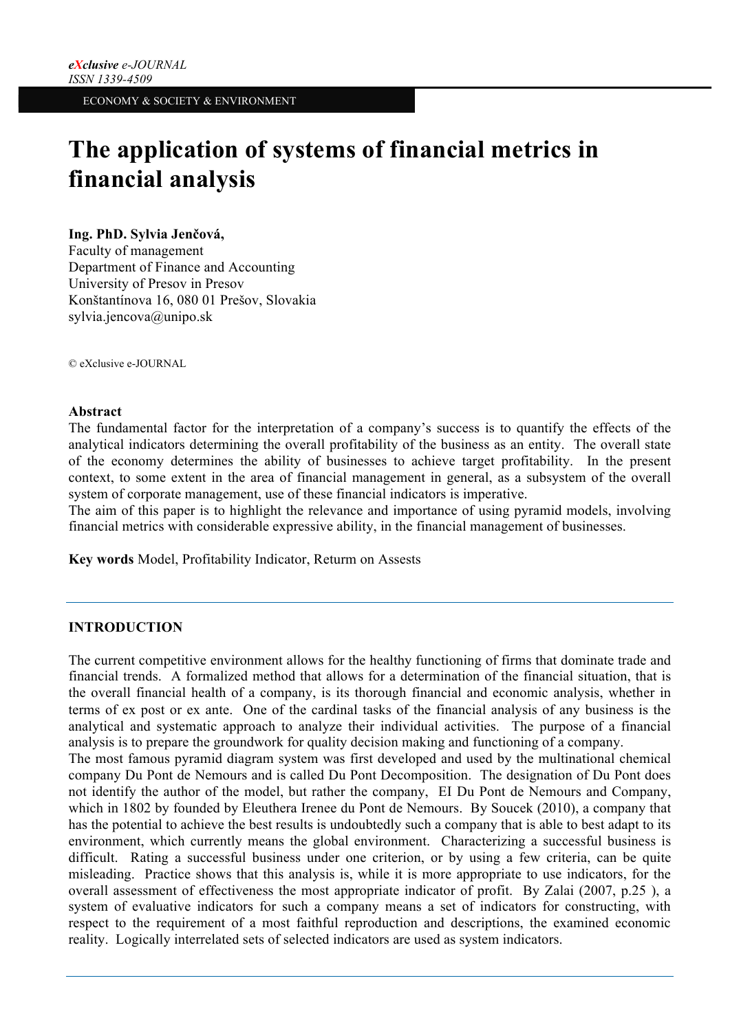# **The application of systems of financial metrics in financial analysis**

#### **Ing. PhD. Sylvia Jenčová,**

Faculty of management Department of Finance and Accounting University of Presov in Presov Konštantínova 16, 080 01 Prešov, Slovakia sylvia.jencova@unipo.sk

© eXclusive e-JOURNAL

#### **Abstract**

The fundamental factor for the interpretation of a company's success is to quantify the effects of the analytical indicators determining the overall profitability of the business as an entity. The overall state of the economy determines the ability of businesses to achieve target profitability. In the present context, to some extent in the area of financial management in general, as a subsystem of the overall system of corporate management, use of these financial indicators is imperative.

The aim of this paper is to highlight the relevance and importance of using pyramid models, involving financial metrics with considerable expressive ability, in the financial management of businesses.

**Key words** Model, Profitability Indicator, Returm on Assests

## **INTRODUCTION**

The current competitive environment allows for the healthy functioning of firms that dominate trade and financial trends. A formalized method that allows for a determination of the financial situation, that is the overall financial health of a company, is its thorough financial and economic analysis, whether in terms of ex post or ex ante. One of the cardinal tasks of the financial analysis of any business is the analytical and systematic approach to analyze their individual activities. The purpose of a financial analysis is to prepare the groundwork for quality decision making and functioning of a company.

The most famous pyramid diagram system was first developed and used by the multinational chemical company Du Pont de Nemours and is called Du Pont Decomposition. The designation of Du Pont does not identify the author of the model, but rather the company, EI Du Pont de Nemours and Company, which in 1802 by founded by Eleuthera Irenee du Pont de Nemours. By Soucek (2010), a company that has the potential to achieve the best results is undoubtedly such a company that is able to best adapt to its environment, which currently means the global environment. Characterizing a successful business is difficult. Rating a successful business under one criterion, or by using a few criteria, can be quite misleading. Practice shows that this analysis is, while it is more appropriate to use indicators, for the overall assessment of effectiveness the most appropriate indicator of profit. By Zalai (2007, p.25 ), a system of evaluative indicators for such a company means a set of indicators for constructing, with respect to the requirement of a most faithful reproduction and descriptions, the examined economic reality. Logically interrelated sets of selected indicators are used as system indicators.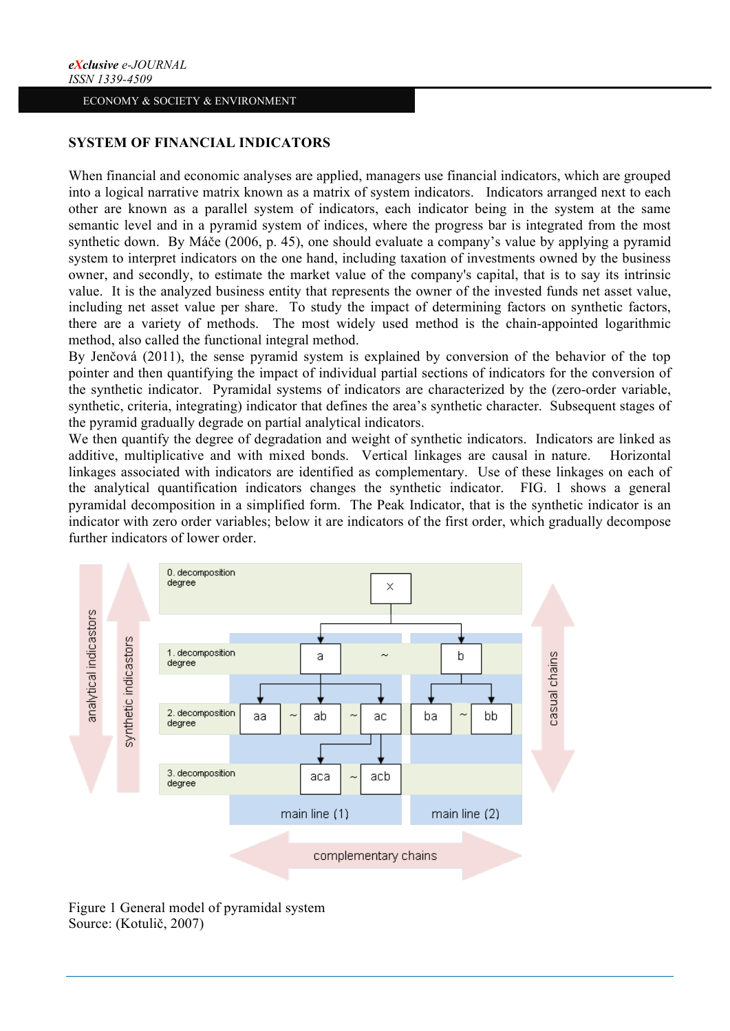## **SYSTEM OF FINANCIAL INDICATORS**

When financial and economic analyses are applied, managers use financial indicators, which are grouped into a logical narrative matrix known as a matrix of system indicators. Indicators arranged next to each other are known as a parallel system of indicators, each indicator being in the system at the same semantic level and in a pyramid system of indices, where the progress bar is integrated from the most synthetic down. By Máče (2006, p. 45), one should evaluate a company's value by applying a pyramid system to interpret indicators on the one hand, including taxation of investments owned by the business owner, and secondly, to estimate the market value of the company's capital, that is to say its intrinsic value. It is the analyzed business entity that represents the owner of the invested funds net asset value, including net asset value per share. To study the impact of determining factors on synthetic factors, there are a variety of methods. The most widely used method is the chain-appointed logarithmic method, also called the functional integral method.

By Jenčová (2011), the sense pyramid system is explained by conversion of the behavior of the top pointer and then quantifying the impact of individual partial sections of indicators for the conversion of the synthetic indicator. Pyramidal systems of indicators are characterized by the (zero-order variable, synthetic, criteria, integrating) indicator that defines the area's synthetic character. Subsequent stages of the pyramid gradually degrade on partial analytical indicators.

We then quantify the degree of degradation and weight of synthetic indicators. Indicators are linked as additive, multiplicative and with mixed bonds. Vertical linkages are causal in nature. Horizontal linkages associated with indicators are identified as complementary. Use of these linkages on each of the analytical quantification indicators changes the synthetic indicator. FIG. 1 shows a general pyramidal decomposition in a simplified form. The Peak Indicator, that is the synthetic indicator is an indicator with zero order variables; below it are indicators of the first order, which gradually decompose further indicators of lower order.



Figure 1 General model of pyramidal system Source: (Kotulič, 2007)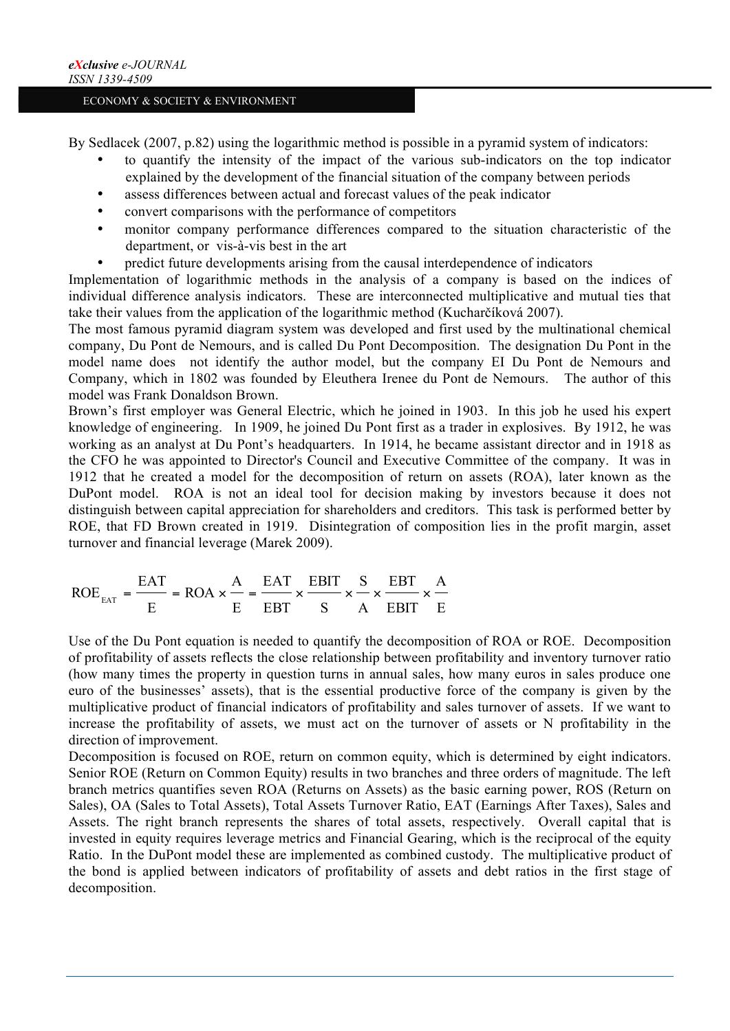By Sedlacek (2007, p.82) using the logarithmic method is possible in a pyramid system of indicators:

- to quantify the intensity of the impact of the various sub-indicators on the top indicator explained by the development of the financial situation of the company between periods
- assess differences between actual and forecast values of the peak indicator
- convert comparisons with the performance of competitors
- monitor company performance differences compared to the situation characteristic of the department, or vis-à-vis best in the art
- predict future developments arising from the causal interdependence of indicators

Implementation of logarithmic methods in the analysis of a company is based on the indices of individual difference analysis indicators. These are interconnected multiplicative and mutual ties that take their values from the application of the logarithmic method (Kucharčíková 2007).

The most famous pyramid diagram system was developed and first used by the multinational chemical company, Du Pont de Nemours, and is called Du Pont Decomposition. The designation Du Pont in the model name does not identify the author model, but the company EI Du Pont de Nemours and Company, which in 1802 was founded by Eleuthera Irenee du Pont de Nemours. The author of this model was Frank Donaldson Brown.

Brown's first employer was General Electric, which he joined in 1903. In this job he used his expert knowledge of engineering. In 1909, he joined Du Pont first as a trader in explosives. By 1912, he was working as an analyst at Du Pont's headquarters. In 1914, he became assistant director and in 1918 as the CFO he was appointed to Director's Council and Executive Committee of the company. It was in 1912 that he created a model for the decomposition of return on assets (ROA), later known as the DuPont model. ROA is not an ideal tool for decision making by investors because it does not distinguish between capital appreciation for shareholders and creditors. This task is performed better by ROE, that FD Brown created in 1919. Disintegration of composition lies in the profit margin, asset turnover and financial leverage (Marek 2009).

$$
ROEext = \frac{EAT}{E} = ROA \times \frac{A}{E} = \frac{EAT}{EBT} \times \frac{EBIT}{S} \times \frac{S}{A} \times \frac{EBT}{EBIT} \times \frac{A}{E}
$$

Use of the Du Pont equation is needed to quantify the decomposition of ROA or ROE. Decomposition of profitability of assets reflects the close relationship between profitability and inventory turnover ratio (how many times the property in question turns in annual sales, how many euros in sales produce one euro of the businesses' assets), that is the essential productive force of the company is given by the multiplicative product of financial indicators of profitability and sales turnover of assets. If we want to increase the profitability of assets, we must act on the turnover of assets or N profitability in the direction of improvement.

Decomposition is focused on ROE, return on common equity, which is determined by eight indicators. Senior ROE (Return on Common Equity) results in two branches and three orders of magnitude. The left branch metrics quantifies seven ROA (Returns on Assets) as the basic earning power, ROS (Return on Sales), OA (Sales to Total Assets), Total Assets Turnover Ratio, EAT (Earnings After Taxes), Sales and Assets. The right branch represents the shares of total assets, respectively. Overall capital that is invested in equity requires leverage metrics and Financial Gearing, which is the reciprocal of the equity Ratio. In the DuPont model these are implemented as combined custody. The multiplicative product of the bond is applied between indicators of profitability of assets and debt ratios in the first stage of decomposition.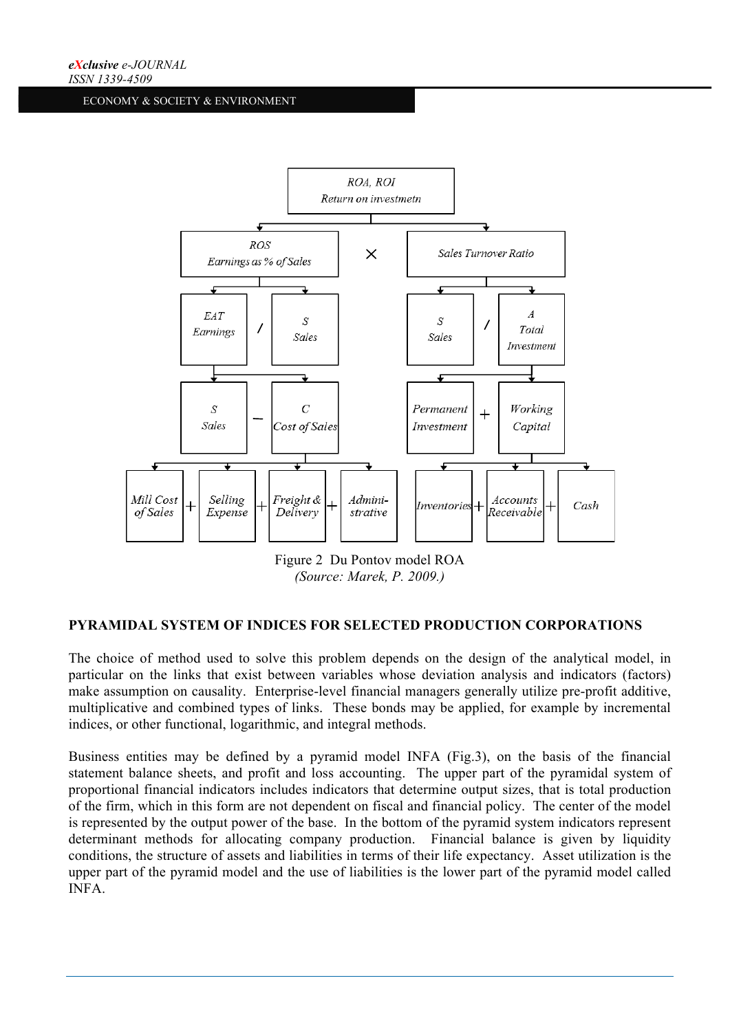

*(Source: Marek, P. 2009.)*

## **PYRAMIDAL SYSTEM OF INDICES FOR SELECTED PRODUCTION CORPORATIONS**

The choice of method used to solve this problem depends on the design of the analytical model, in particular on the links that exist between variables whose deviation analysis and indicators (factors) make assumption on causality. Enterprise-level financial managers generally utilize pre-profit additive, multiplicative and combined types of links. These bonds may be applied, for example by incremental indices, or other functional, logarithmic, and integral methods.

Business entities may be defined by a pyramid model INFA (Fig.3), on the basis of the financial statement balance sheets, and profit and loss accounting. The upper part of the pyramidal system of proportional financial indicators includes indicators that determine output sizes, that is total production of the firm, which in this form are not dependent on fiscal and financial policy. The center of the model is represented by the output power of the base. In the bottom of the pyramid system indicators represent determinant methods for allocating company production. Financial balance is given by liquidity conditions, the structure of assets and liabilities in terms of their life expectancy. Asset utilization is the upper part of the pyramid model and the use of liabilities is the lower part of the pyramid model called INFA.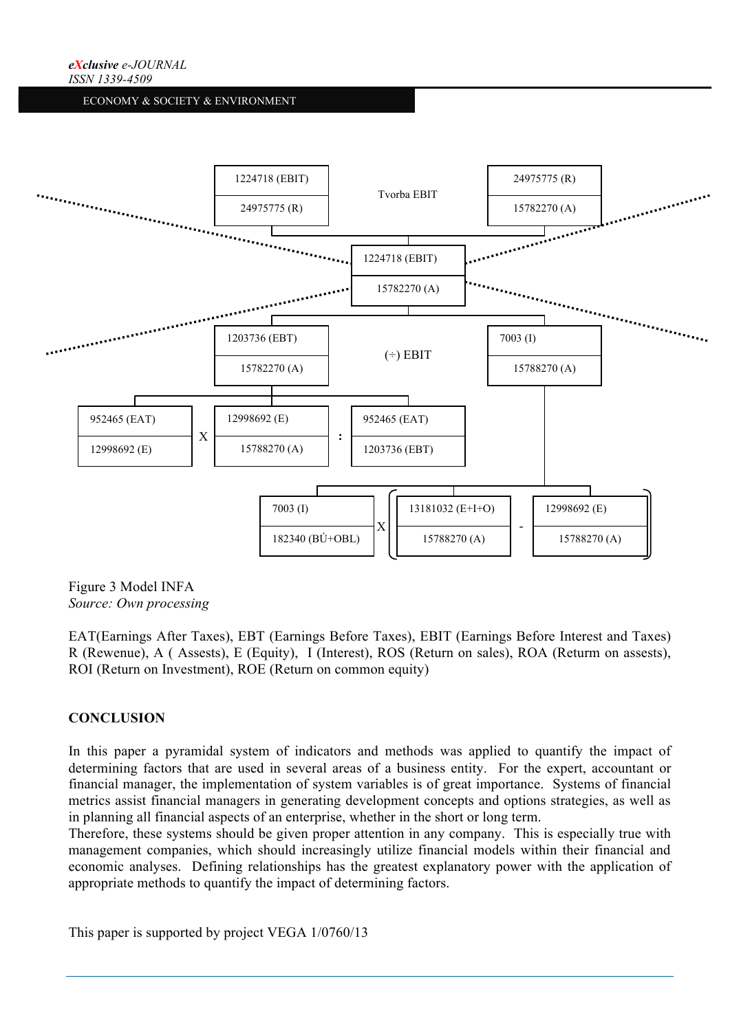

Figure 3 Model INFA *Source: Own processing*

EAT(Earnings After Taxes), EBT (Earnings Before Taxes), EBIT (Earnings Before Interest and Taxes) R (Rewenue), A ( Assests), E (Equity), I (Interest), ROS (Return on sales), ROA (Returm on assests), ROI (Return on Investment), ROE (Return on common equity)

## **CONCLUSION**

In this paper a pyramidal system of indicators and methods was applied to quantify the impact of determining factors that are used in several areas of a business entity. For the expert, accountant or financial manager, the implementation of system variables is of great importance. Systems of financial metrics assist financial managers in generating development concepts and options strategies, as well as in planning all financial aspects of an enterprise, whether in the short or long term.

Therefore, these systems should be given proper attention in any company. This is especially true with management companies, which should increasingly utilize financial models within their financial and economic analyses. Defining relationships has the greatest explanatory power with the application of appropriate methods to quantify the impact of determining factors.

This paper is supported by project VEGA 1/0760/13